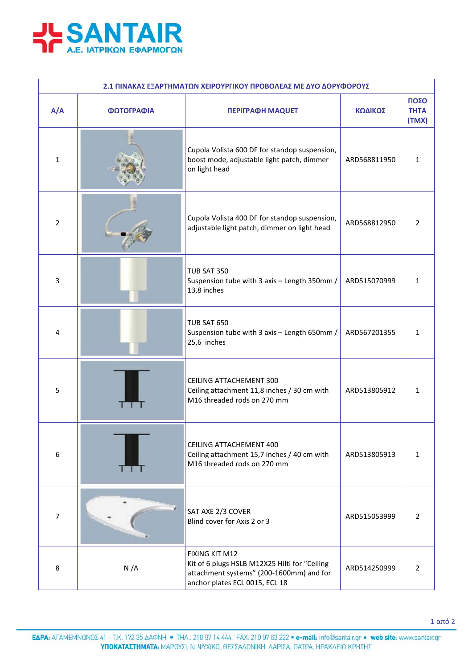

| 2.1 ΠΙΝΑΚΑΣ ΕΞΑΡΤΗΜΑΤΩΝ ΧΕΙΡΟΥΡΓΙΚΟΥ ΠΡΟΒΟΛΕΑΣ ΜΕ ΔΥΟ ΔΟΡΥΦΟΡΟΥΣ |            |                                                                                                                                               |              |                              |  |  |  |
|------------------------------------------------------------------|------------|-----------------------------------------------------------------------------------------------------------------------------------------------|--------------|------------------------------|--|--|--|
| A/A                                                              | ΦΩΤΟΓΡΑΦΙΑ | <b>ΠΕΡΙΓΡΑΦΗ ΜΑQUET</b>                                                                                                                       | ΚΩΔΙΚΟΣ      | ΠΟΣΟ<br><b>THTA</b><br>(TMX) |  |  |  |
| $\mathbf{1}$                                                     |            | Cupola Volista 600 DF for standop suspension,<br>boost mode, adjustable light patch, dimmer<br>on light head                                  | ARD568811950 | $\mathbf{1}$                 |  |  |  |
| 2                                                                |            | Cupola Volista 400 DF for standop suspension,<br>adjustable light patch, dimmer on light head                                                 | ARD568812950 | $\overline{2}$               |  |  |  |
| 3                                                                |            | <b>TUB SAT 350</b><br>Suspension tube with 3 axis - Length 350mm /<br>13,8 inches                                                             | ARD515070999 | $\mathbf{1}$                 |  |  |  |
| 4                                                                |            | <b>TUB SAT 650</b><br>Suspension tube with 3 axis - Length 650mm /<br>25,6 inches                                                             | ARD567201355 | 1                            |  |  |  |
| 5                                                                |            | CEILING ATTACHEMENT 300<br>Ceiling attachment 11,8 inches / 30 cm with<br>M16 threaded rods on 270 mm                                         | ARD513805912 | 1                            |  |  |  |
| 6                                                                |            | CEILING ATTACHEMENT 400<br>Ceiling attachment 15,7 inches / 40 cm with<br>M16 threaded rods on 270 mm                                         | ARD513805913 | $\mathbf{1}$                 |  |  |  |
| $\overline{7}$                                                   |            | SAT AXE 2/3 COVER<br>Blind cover for Axis 2 or 3                                                                                              | ARD515053999 | $\overline{2}$               |  |  |  |
| 8                                                                | N/A        | FIXING KIT M12<br>Kit of 6 plugs HSLB M12X25 Hilti for "Ceiling<br>attachment systems" (200-1600mm) and for<br>anchor plates ECL 0015, ECL 18 | ARD514250999 | $\overline{2}$               |  |  |  |